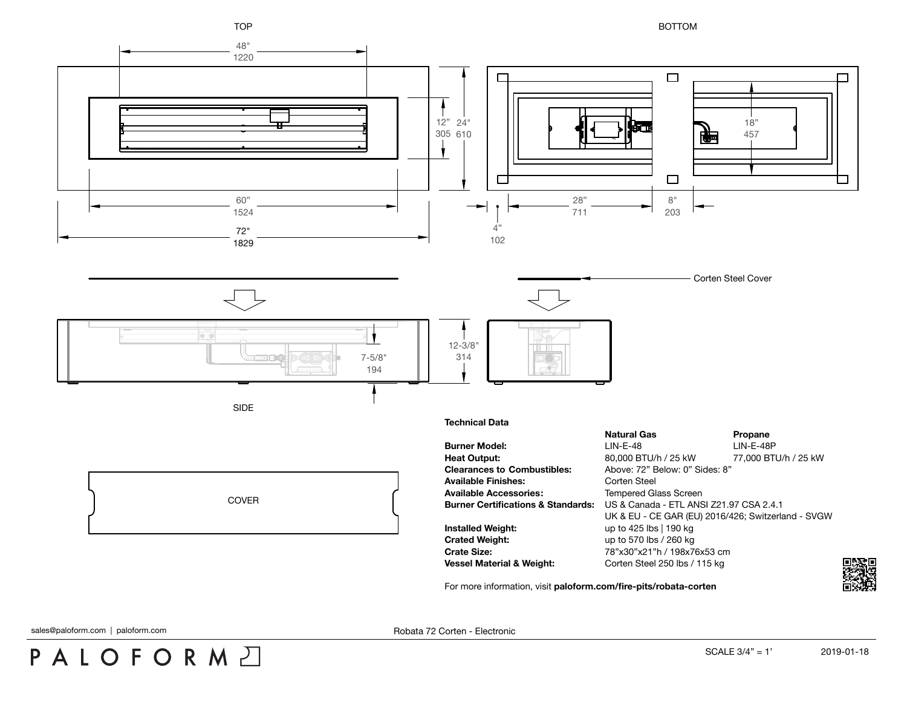

PALOFORMA